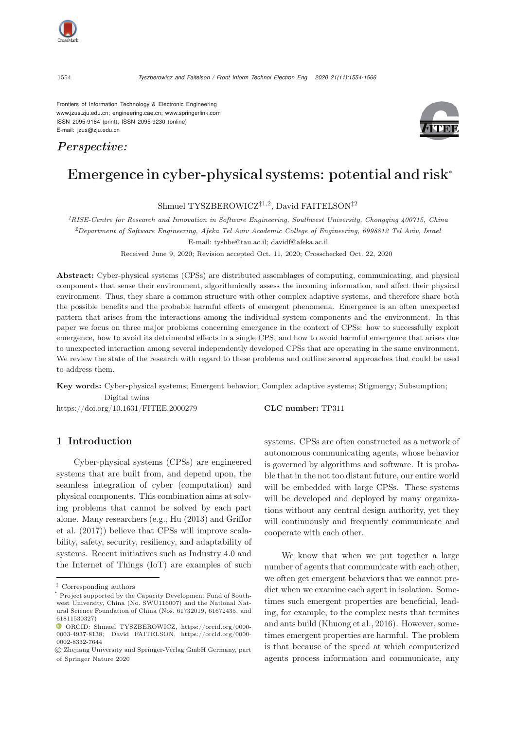

Frontiers of Information Technology & Electronic Engineering [www.jzus.zju.edu.cn;](www.jzus.zju.edu.cn) [engineering.cae.cn;](engineering.cae.cn)<www.springerlink.com> ISSN 2095-9184 (print); ISSN 2095-9230 (online) E-mail: jzus@zju.edu.cn

*Perspective:*



# Emergence in cyber-physical systems: potential and risk<sup>∗</sup>

Shmuel TYSZBEROWICZ‡1,2, David FAITELSON‡<sup>2</sup>

*<sup>1</sup>RISE-Centre for Research and Innovation in Software Engineering, Southwest University, Chongqing 400715, China <sup>2</sup>Department of Software Engineering, Afeka Tel Aviv Academic College of Engineering, 6998812 Tel Aviv, Israel*

E-mail: tyshbe@tau.ac.il; davidf@afeka.ac.il

Received June 9, 2020; Revision accepted Oct. 11, 2020; Crosschecked Oct. 22, 2020

Abstract: Cyber-physical systems (CPSs) are distributed assemblages of computing, communicating, and physical components that sense their environment, algorithmically assess the incoming information, and affect their physical environment. Thus, they share a common structure with other complex adaptive systems, and therefore share both the possible benefits and the probable harmful effects of emergent phenomena. Emergence is an often unexpected pattern that arises from the interactions among the individual system components and the environment. In this paper we focus on three major problems concerning emergence in the context of CPSs: how to successfully exploit emergence, how to avoid its detrimental effects in a single CPS, and how to avoid harmful emergence that arises due to unexpected interaction among several independently developed CPSs that are operating in the same environment. We review the state of the research with regard to these problems and outline several approaches that could be used to address them.

Key words: Cyber-physical systems; Emergent behavior; Complex adaptive systems; Stigmergy; Subsumption; Digital twins

https://doi.org/10.1631/FITEE.2000279 CLC number: TP311

## 1 Introduction

Cyber-physical systems (CPSs) are engineered systems that are built from, and depend upon, the seamless integration of cyber (computation) and physical components. This combination aims at solving problems that cannot be solved by each part alone[.](#page-10-1) [Many](#page-10-1) [researchers](#page-10-1) [\(e.g.,](#page-10-1) [Hu](#page-10-0) [\(2013](#page-10-0)[\)](#page-10-1) [and](#page-10-1) Griffor et al. [\(2017](#page-10-1))) believe that CPSs will improve scalability, safety, security, resiliency, and adaptability of systems. Recent initiatives such as Industry 4.0 and the Internet of Things (IoT) are examples of such systems. CPSs are often constructed as a network of autonomous communicating agents, whose behavior is governed by algorithms and software. It is probable that in the not too distant future, our entire world will be embedded with large CPSs. These systems will be developed and deployed by many organizations without any central design authority, yet they will continuously and frequently communicate and cooperate with each other.

We know that when we put together a large number of agents that communicate with each other, we often get emergent behaviors that we cannot predict when we examine each agent in isolation. Sometimes such emergent properties are beneficial, leading, for example, to the complex nests that termites and ants build [\(Khuong et al.](#page-10-2), [2016](#page-10-2)). However, sometimes emergent properties are harmful. The problem is that because of the speed at which computerized agents process information and communicate, any

<sup>‡</sup> Corresponding authors

<sup>\*</sup> Project supported by the Capacity Development Fund of Southwest University, China (No. SWU116007) and the National Natural Science Foundation of China (Nos. 61732019, 61672435, and 61811530327)

ORCID: Shmuel TYSZBEROWICZ, https://orcid.org/0000- 0003-4937-8138; David FAITELSON, https://orcid.org/0000- 0002-8332-7644

c Zhejiang University and Springer-Verlag GmbH Germany, part of Springer Nature 2020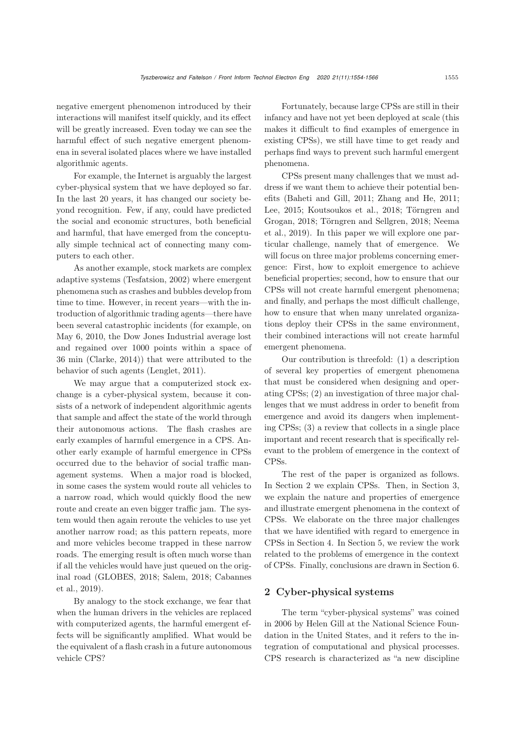negative emergent phenomenon introduced by their interactions will manifest itself quickly, and its effect will be greatly increased. Even today we can see the harmful effect of such negative emergent phenomena in several isolated places where we have installed algorithmic agents.

For example, the Internet is arguably the largest cyber-physical system that we have deployed so far. In the last 20 years, it has changed our society beyond recognition. Few, if any, could have predicted the social and economic structures, both beneficial and harmful, that have emerged from the conceptually simple technical act of connecting many computers to each other.

As another example, stock markets are complex adaptive systems [\(Tesfatsion, 2002\)](#page-12-0) where emergent phenomena such as crashes and bubbles develop from time to time. However, in recent years—with the introduction of algorithmic trading agents—there have been several catastrophic incidents (for example, on May 6, 2010, the Dow Jones Industrial average lost and regained over 1000 points within a space of 36 min [\(Clarke, 2014](#page-10-3))) that were attributed to the behavior of such agents [\(Lenglet](#page-11-0), [2011](#page-11-0)).

We may argue that a computerized stock exchange is a cyber-physical system, because it consists of a network of independent algorithmic agents that sample and affect the state of the world through their autonomous actions. The flash crashes are early examples of harmful emergence in a CPS. Another early example of harmful emergence in CPSs occurred due to the behavior of social traffic management systems. When a major road is blocked, in some cases the system would route all vehicles to a narrow road, which would quickly flood the new route and create an even bigger traffic jam. The system would then again reroute the vehicles to use yet another narrow road; as this pattern repeats, more and more vehicles become trapped in these narrow roads. The emerging result is often much worse than if all the vehicles would have just queued on the original [road](#page-10-5) [\(GLOBES](#page-10-4)[,](#page-10-5) [2018](#page-10-4)[;](#page-10-5) [Salem](#page-11-1)[,](#page-10-5) [2018](#page-11-1)[;](#page-10-5) Cabannes et al., [2019\)](#page-10-5).

By analogy to the stock exchange, we fear that when the human drivers in the vehicles are replaced with computerized agents, the harmful emergent effects will be significantly amplified. What would be the equivalent of a flash crash in a future autonomous vehicle CPS?

Fortunately, because large CPSs are still in their infancy and have not yet been deployed at scale (this makes it difficult to find examples of emergence in existing CPSs), we still have time to get ready and perhaps find ways to prevent such harmful emergent phenomena.

CPSs present many challenges that we must address if we want them to achieve their potential benefits [\(Baheti and Gill](#page-9-0), [2011;](#page-9-0) [Zhang and He](#page-12-1), [2011;](#page-12-1) [Lee](#page-11-2), [2015](#page-11-2)[;](#page-12-2) [Koutsoukos et al.](#page-11-3)[,](#page-12-2) [2018;](#page-11-3) Törngren and Grog[an,](#page-11-4) [2018](#page-12-2)[;](#page-11-4) [Törngren and Sellgren](#page-12-3)[,](#page-11-4) [2018](#page-12-3)[;](#page-11-4) Neema et al., [2019\)](#page-11-4). In this paper we will explore one particular challenge, namely that of emergence. We will focus on three major problems concerning emergence: First, how to exploit emergence to achieve beneficial properties; second, how to ensure that our CPSs will not create harmful emergent phenomena; and finally, and perhaps the most difficult challenge, how to ensure that when many unrelated organizations deploy their CPSs in the same environment, their combined interactions will not create harmful emergent phenomena.

Our contribution is threefold: (1) a description of several key properties of emergent phenomena that must be considered when designing and operating CPSs; (2) an investigation of three major challenges that we must address in order to benefit from emergence and avoid its dangers when implementing CPSs; (3) a review that collects in a single place important and recent research that is specifically relevant to the problem of emergence in the context of CPSs.

The rest of the paper is organized as follows. In Section [2](#page-1-0) we explain CPSs. Then, in Section [3,](#page-2-0) we explain the nature and properties of emergence and illustrate emergent phenomena in the context of CPSs. We elaborate on the three major challenges that we have identified with regard to emergence in CPSs in Section [4.](#page-4-0) In Section [5,](#page-7-0) we review the work related to the problems of emergence in the context of CPSs. Finally, conclusions are drawn in Section 6.

## <span id="page-1-0"></span>2 Cyber-physical systems

The term "cyber-physical systems" was coined in 2006 by Helen Gill at the National Science Foundation in the United States, and it refers to the integration of computational and physical processes. CPS research is characterized as "a new discipline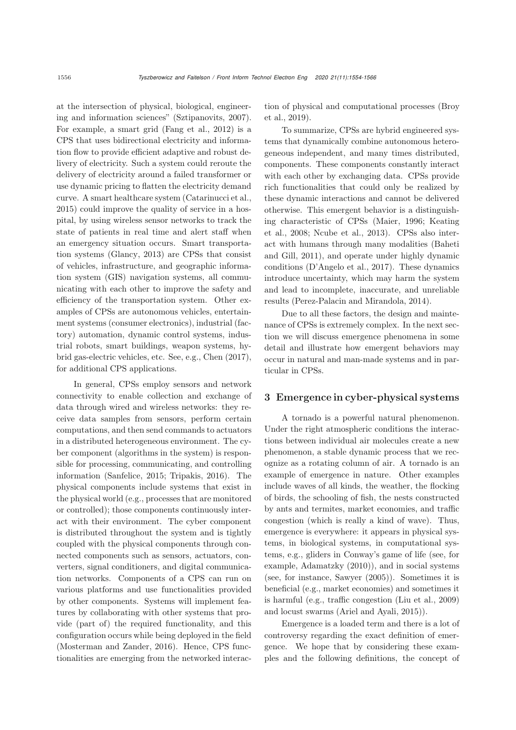at the intersection of physical, biological, engineering and information sciences" [\(Sztipanovits, 2007\)](#page-11-5). For example, a smart grid [\(Fang et al.](#page-10-6), [2012](#page-10-6)) is a CPS that uses bidirectional electricity and information flow to provide efficient adaptive and robust delivery of electricity. Such a system could reroute the delivery of electricity around a failed transformer or use dynamic pricing to flatten the electricity demand curve. A smart healthcare system [\(Catarinucci et al.](#page-10-7), [2015](#page-10-7)) could improve the quality of service in a hospital, by using wireless sensor networks to track the state of patients in real time and alert staff when an emergency situation occurs. Smart transportation systems [\(Glancy, 2013\)](#page-10-8) are CPSs that consist of vehicles, infrastructure, and geographic information system (GIS) navigation systems, all communicating with each other to improve the safety and efficiency of the transportation system. Other examples of CPSs are autonomous vehicles, entertainment systems (consumer electronics), industrial (factory) automation, dynamic control systems, industrial robots, smart buildings, weapon systems, hybrid gas-electric vehicles, etc. See, e.g., [Chen](#page-10-9) [\(2017\)](#page-10-9), for additional CPS applications.

In general, CPSs employ sensors and network connectivity to enable collection and exchange of data through wired and wireless networks: they receive data samples from sensors, perform certain computations, and then send commands to actuators in a distributed heterogeneous environment. The cyber component (algorithms in the system) is responsible for processing, communicating, and controlling information [\(Sanfelice, 2015](#page-11-6); [Tripakis, 2016\)](#page-12-4). The physical components include systems that exist in the physical world (e.g., processes that are monitored or controlled); those components continuously interact with their environment. The cyber component is distributed throughout the system and is tightly coupled with the physical components through connected components such as sensors, actuators, converters, signal conditioners, and digital communication networks. Components of a CPS can run on various platforms and use functionalities provided by other components. Systems will implement features by collaborating with other systems that provide (part of) the required functionality, and this configuration occurs while being deployed in the field [\(Mosterman and Zander](#page-11-7), [2016\)](#page-11-7). Hence, CPS functionalities are emerging from the networked interaction [of](#page-10-10) [physical](#page-10-10) [and](#page-10-10) [computational](#page-10-10) [processes](#page-10-10) [\(](#page-10-10)Broy et al., [2019\)](#page-10-10).

To summarize, CPSs are hybrid engineered systems that dynamically combine autonomous heterogeneous independent, and many times distributed, components. These components constantly interact with each other by exchanging data. CPSs provide rich functionalities that could only be realized by these dynamic interactions and cannot be delivered otherwise. This emergent behavior is a distinguishing [characteristic](#page-10-11) [of](#page-10-11) [CPSs](#page-10-11) [\(Maier](#page-11-8)[,](#page-10-11) [1996;](#page-11-8) Keating et al., [2008](#page-10-11); [Ncube et al., 2013\)](#page-11-9). CPSs also interact wit[h](#page-9-0) [humans](#page-9-0) [through](#page-9-0) [many](#page-9-0) [modalities](#page-9-0) [\(](#page-9-0)Baheti and Gill, [2011\)](#page-9-0), and operate under highly dynamic conditions [\(D'Angelo et al., 2017\)](#page-10-12). These dynamics introduce uncertainty, which may harm the system and lead to incomplete, inaccurate, and unreliable results [\(Perez-Palacin and Mirandola](#page-11-10), [2014\)](#page-11-10).

Due to all these factors, the design and maintenance of CPSs is extremely complex. In the next section we will discuss emergence phenomena in some detail and illustrate how emergent behaviors may occur in natural and man-made systems and in particular in CPSs.

## <span id="page-2-0"></span>3 Emergence in cyber-physical systems

A tornado is a powerful natural phenomenon. Under the right atmospheric conditions the interactions between individual air molecules create a new phenomenon, a stable dynamic process that we recognize as a rotating column of air. A tornado is an example of emergence in nature. Other examples include waves of all kinds, the weather, the flocking of birds, the schooling of fish, the nests constructed by ants and termites, market economies, and traffic congestion (which is really a kind of wave). Thus, emergence is everywhere: it appears in physical systems, in biological systems, in computational systems, e.g., gliders in Conway's game of life (see, for example, [Adamatzky](#page-9-1) [\(2010](#page-9-1))), and in social systems (see, for instance, [Sawyer](#page-11-11) [\(2005](#page-11-11))). Sometimes it is beneficial (e.g., market economies) and sometimes it is harmful (e.g., traffic congestion [\(Liu et al.](#page-11-12), [2009](#page-11-12)) and locust swarms [\(Ariel and Ayali](#page-9-2), [2015](#page-9-2))).

Emergence is a loaded term and there is a lot of controversy regarding the exact definition of emergence. We hope that by considering these examples and the following definitions, the concept of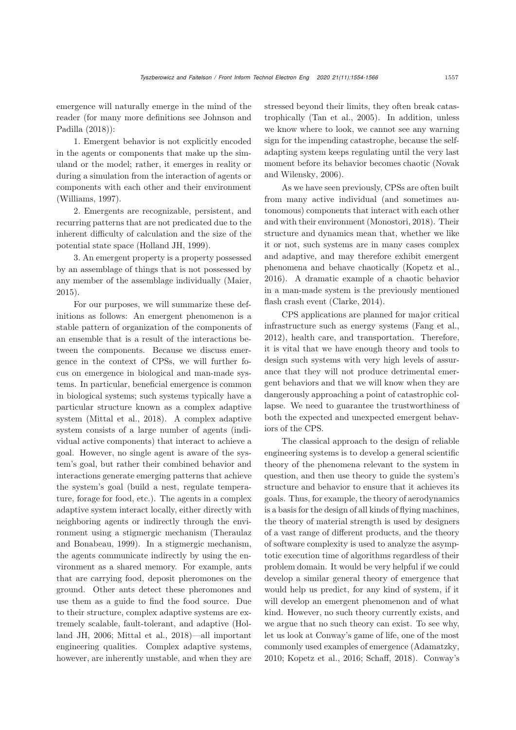emergence will naturally emerge in the mind of the reader [\(for](#page-10-13) [many](#page-10-13) [more](#page-10-13) [definitions](#page-10-13) [see](#page-10-13) Johnson and Padilla [\(2018\)](#page-10-13)):

1. Emergent behavior is not explicitly encoded in the agents or components that make up the simuland or the model; rather, it emerges in reality or during a simulation from the interaction of agents or components with each other and their environment [\(Williams, 1997](#page-12-5)).

2. Emergents are recognizable, persistent, and recurring patterns that are not predicated due to the inherent difficulty of calculation and the size of the potential state space [\(Holland JH, 1999\)](#page-10-14).

3. An emergent property is a property possessed by an assemblage of things that is not possessed by any member of the assemblage individually [\(Maier,](#page-11-13) [2015](#page-11-13)).

For our purposes, we will summarize these definitions as follows: An emergent phenomenon is a stable pattern of organization of the components of an ensemble that is a result of the interactions between the components. Because we discuss emergence in the context of CPSs, we will further focus on emergence in biological and man-made systems. In particular, beneficial emergence is common in biological systems; such systems typically have a particular structure known as a complex adaptive system [\(Mittal et al., 2018\)](#page-11-14). A complex adaptive system consists of a large number of agents (individual active components) that interact to achieve a goal. However, no single agent is aware of the system's goal, but rather their combined behavior and interactions generate emerging patterns that achieve the system's goal (build a nest, regulate temperature, forage for food, etc.). The agents in a complex adaptive system interact locally, either directly with neighboring agents or indirectly through the environment using [a](#page-12-6) [stigmergic](#page-12-6) [mechanism](#page-12-6) [\(](#page-12-6)Theraulaz and Bonabeau, [1999\)](#page-12-6). In a stigmergic mechanism, the agents communicate indirectly by using the environment as a shared memory. For example, ants that are carrying food, deposit pheromones on the ground. Other ants detect these pheromones and use them as a guide to find the food source. Due to their structure, complex adaptive systems are extremely scalable, [fault-tolerant,](#page-10-15) [and](#page-10-15) [adaptive](#page-10-15) [\(](#page-10-15)Holland JH, [2006](#page-10-15); [Mittal et al., 2018\)](#page-11-14)—all important engineering qualities. Complex adaptive systems, however, are inherently unstable, and when they are stressed beyond their limits, they often break catastrophically [\(Tan et al., 2005](#page-12-7)). In addition, unless we know where to look, we cannot see any warning sign for the impending catastrophe, because the selfadapting system keeps regulating until the very last moment befo[re](#page-11-15) [its](#page-11-15) [behavior](#page-11-15) [becomes](#page-11-15) [chaotic](#page-11-15) [\(](#page-11-15)Novak and Wilensky, [2006](#page-11-15)).

As we have seen previously, CPSs are often built from many active individual (and sometimes autonomous) components that interact with each other and with their environment [\(Monostori](#page-11-16), [2018](#page-11-16)). Their structure and dynamics mean that, whether we like it or not, such systems are in many cases complex and adaptive, and may therefore exhibit emergent phenomena and behave chaotically [\(Kopetz et al.](#page-11-17), [2016](#page-11-17)). A dramatic example of a chaotic behavior in a man-made system is the previously mentioned flash crash event [\(Clarke](#page-10-3), [2014\)](#page-10-3).

CPS applications are planned for major critical infrastructure such as energy systems [\(Fang et al.](#page-10-6), [2012](#page-10-6)), health care, and transportation. Therefore, it is vital that we have enough theory and tools to design such systems with very high levels of assurance that they will not produce detrimental emergent behaviors and that we will know when they are dangerously approaching a point of catastrophic collapse. We need to guarantee the trustworthiness of both the expected and unexpected emergent behaviors of the CPS.

The classical approach to the design of reliable engineering systems is to develop a general scientific theory of the phenomena relevant to the system in question, and then use theory to guide the system's structure and behavior to ensure that it achieves its goals. Thus, for example, the theory of aerodynamics is a basis for the design of all kinds of flying machines, the theory of material strength is used by designers of a vast range of different products, and the theory of software complexity is used to analyze the asymptotic execution time of algorithms regardless of their problem domain. It would be very helpful if we could develop a similar general theory of emergence that would help us predict, for any kind of system, if it will develop an emergent phenomenon and of what kind. However, no such theory currently exists, and we argue that no such theory can exist. To see why, let us look at Conway's game of life, one of the most commonly used examples of emergence [\(Adamatzky](#page-9-1), [2010](#page-9-1); [Kopetz et al., 2016](#page-11-17); [Schaff, 2018\)](#page-11-18). Conway's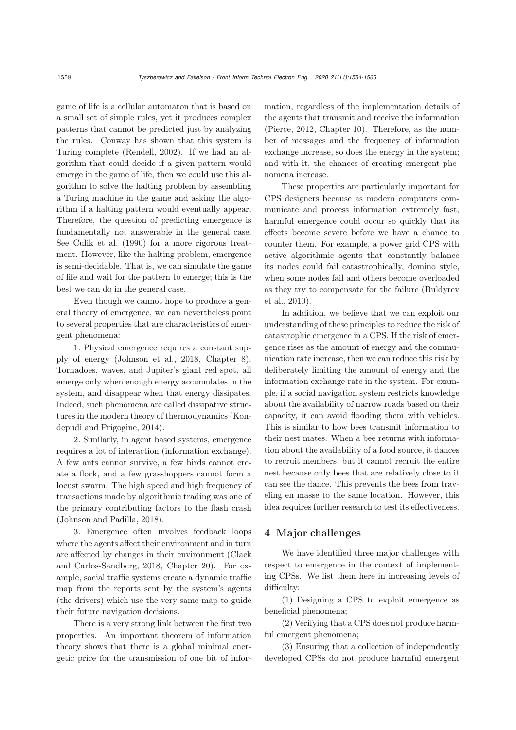game of life is a cellular automaton that is based on a small set of simple rules, yet it produces complex patterns that cannot be predicted just by analyzing the rules. Conway has shown that this system is Turing complete [\(Rendell, 2002\)](#page-11-19). If we had an algorithm that could decide if a given pattern would emerge in the game of life, then we could use this algorithm to solve the halting problem by assembling a Turing machine in the game and asking the algorithm if a halting pattern would eventually appear. Therefore, the question of predicting emergence is fundamentally not answerable in the general case. See [Culik et al.](#page-10-16) [\(1990\)](#page-10-16) for a more rigorous treatment. However, like the halting problem, emergence is semi-decidable. That is, we can simulate the game of life and wait for the pattern to emerge; this is the best we can do in the general case.

Even though we cannot hope to produce a general theory of emergence, we can nevertheless point to several properties that are characteristics of emergent phenomena:

1. Physical emergence requires a constant supply of energy [\(Johnson et al., 2018](#page-10-17), Chapter 8). Tornadoes, waves, and Jupiter's giant red spot, all emerge only when enough energy accumulates in the system, and disappear when that energy dissipates. Indeed, such phenomena are called dissipative structures in the modern t[heory](#page-10-18) [of](#page-10-18) [thermodynamics](#page-10-18) [\(](#page-10-18)Kondepudi and Prigogine, [2014\)](#page-10-18).

2. Similarly, in agent based systems, emergence requires a lot of interaction (information exchange). A few ants cannot survive, a few birds cannot create a flock, and a few grasshoppers cannot form a locust swarm. The high speed and high frequency of transactions made by algorithmic trading was one of the primary contributing factors to the flash crash [\(Johnson and Padilla](#page-10-13), [2018\)](#page-10-13).

3. Emergence often involves feedback loops where the agents affect their environment and in turn are affected by chang[es](#page-10-19) [in](#page-10-19) [their](#page-10-19) [environment](#page-10-19) [\(](#page-10-19)Clack and Carlos-Sandberg, [2018](#page-10-19), Chapter 20). For example, social traffic systems create a dynamic traffic map from the reports sent by the system's agents (the drivers) which use the very same map to guide their future navigation decisions.

There is a very strong link between the first two properties. An important theorem of information theory shows that there is a global minimal energetic price for the transmission of one bit of information, regardless of the implementation details of the agents that transmit and receive the information [\(Pierce, 2012](#page-11-20), Chapter 10). Therefore, as the number of messages and the frequency of information exchange increase, so does the energy in the system; and with it, the chances of creating emergent phenomena increase.

These properties are particularly important for CPS designers because as modern computers communicate and process information extremely fast, harmful emergence could occur so quickly that its effects become severe before we have a chance to counter them. For example, a power grid CPS with active algorithmic agents that constantly balance its nodes could fail catastrophically, domino style, when some nodes fail and others become overloaded as th[ey](#page-10-20) [try](#page-10-20) [to](#page-10-20) [compensate](#page-10-20) [for](#page-10-20) [the](#page-10-20) [failure](#page-10-20) [\(](#page-10-20)Buldyrev et al., [2010\)](#page-10-20).

In addition, we believe that we can exploit our understanding of these principles to reduce the risk of catastrophic emergence in a CPS. If the risk of emergence rises as the amount of energy and the communication rate increase, then we can reduce this risk by deliberately limiting the amount of energy and the information exchange rate in the system. For example, if a social navigation system restricts knowledge about the availability of narrow roads based on their capacity, it can avoid flooding them with vehicles. This is similar to how bees transmit information to their nest mates. When a bee returns with information about the availability of a food source, it dances to recruit members, but it cannot recruit the entire nest because only bees that are relatively close to it can see the dance. This prevents the bees from traveling en masse to the same location. However, this idea requires further research to test its effectiveness.

### <span id="page-4-0"></span>4 Major challenges

We have identified three major challenges with respect to emergence in the context of implementing CPSs. We list them here in increasing levels of difficulty:

(1) Designing a CPS to exploit emergence as beneficial phenomena;

(2) Verifying that a CPS does not produce harmful emergent phenomena;

(3) Ensuring that a collection of independently developed CPSs do not produce harmful emergent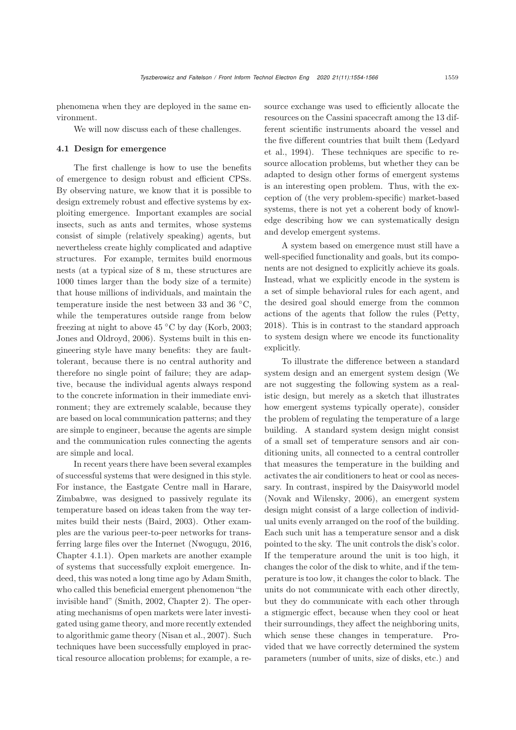phenomena when they are deployed in the same environment.

We will now discuss each of these challenges.

#### 4.1 Design for emergence

The first challenge is how to use the benefits of emergence to design robust and efficient CPSs. By observing nature, we know that it is possible to design extremely robust and effective systems by exploiting emergence. Important examples are social insects, such as ants and termites, whose systems consist of simple (relatively speaking) agents, but nevertheless create highly complicated and adaptive structures. For example, termites build enormous nests (at a typical size of 8 m, these structures are 1000 times larger than the body size of a termite) that house millions of individuals, and maintain the temperature inside the nest between 33 and 36 ◦C, while the temperatures outside range from below freezing at night to above 45 ◦C by day [\(Korb](#page-11-21), [2003;](#page-11-21) [Jones and Oldroyd](#page-10-21), [2006\)](#page-10-21). Systems built in this engineering style have many benefits: they are faulttolerant, because there is no central authority and therefore no single point of failure; they are adaptive, because the individual agents always respond to the concrete information in their immediate environment; they are extremely scalable, because they are based on local communication patterns; and they are simple to engineer, because the agents are simple and the communication rules connecting the agents are simple and local.

In recent years there have been several examples of successful systems that were designed in this style. For instance, the Eastgate Centre mall in Harare, Zimbabwe, was designed to passively regulate its temperature based on ideas taken from the way termites build their nests [\(Baird, 2003](#page-9-3)). Other examples are the various peer-to-peer networks for transferring large files over the Internet [\(Nwogugu, 2016,](#page-11-22) Chapter 4.1.1). Open markets are another example of systems that successfully exploit emergence. Indeed, this was noted a long time ago by Adam Smith, who called this beneficial emergent phenomenon "the invisible hand" [\(Smith](#page-11-23), [2002](#page-11-23), Chapter 2). The operating mechanisms of open markets were later investigated using game theory, and more recently extended to algorithmic game theory [\(Nisan et al.](#page-11-24), [2007](#page-11-24)). Such techniques have been successfully employed in practical resource allocation problems; for example, a resource exchange was used to efficiently allocate the resources on the Cassini spacecraft among the 13 different scientific instruments aboard the vessel and the fi[ve](#page-11-25) [different](#page-11-25) [countries](#page-11-25) [that](#page-11-25) [built](#page-11-25) [them](#page-11-25) [\(](#page-11-25)Ledyard et al., [1994\)](#page-11-25). These techniques are specific to resource allocation problems, but whether they can be adapted to design other forms of emergent systems is an interesting open problem. Thus, with the exception of (the very problem-specific) market-based systems, there is not yet a coherent body of knowledge describing how we can systematically design and develop emergent systems.

A system based on emergence must still have a well-specified functionality and goals, but its components are not designed to explicitly achieve its goals. Instead, what we explicitly encode in the system is a set of simple behavioral rules for each agent, and the desired goal should emerge from the common actions of the agents that follow the rules [\(Petty](#page-11-26), [2018](#page-11-26)). This is in contrast to the standard approach to system design where we encode its functionality explicitly.

To illustrate the difference between a standard system design and an emergent system design (We are not suggesting the following system as a realistic design, but merely as a sketch that illustrates how emergent systems typically operate), consider the problem of regulating the temperature of a large building. A standard system design might consist of a small set of temperature sensors and air conditioning units, all connected to a central controller that measures the temperature in the building and activates the air conditioners to heat or cool as necessary. In contrast, inspired by the Daisyworld model [\(Novak and Wilensky, 2006](#page-11-15)), an emergent system design might consist of a large collection of individual units evenly arranged on the roof of the building. Each such unit has a temperature sensor and a disk pointed to the sky. The unit controls the disk's color. If the temperature around the unit is too high, it changes the color of the disk to white, and if the temperature is too low, it changes the color to black. The units do not communicate with each other directly, but they do communicate with each other through a stigmergic effect, because when they cool or heat their surroundings, they affect the neighboring units, which sense these changes in temperature. Provided that we have correctly determined the system parameters (number of units, size of disks, etc.) and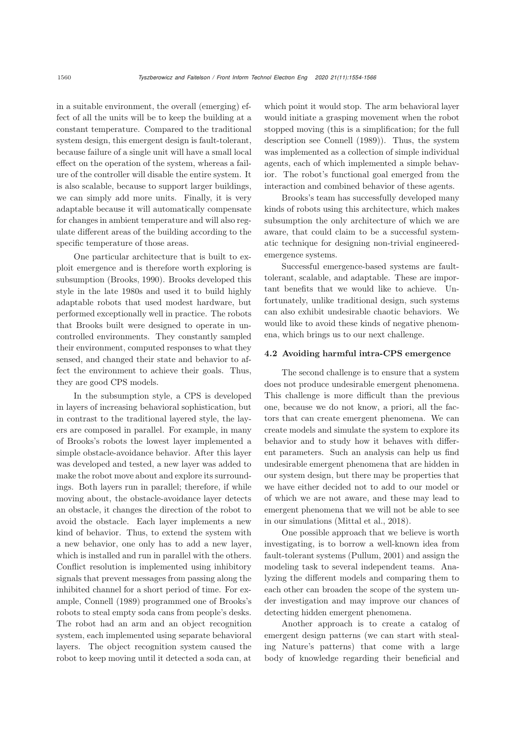in a suitable environment, the overall (emerging) effect of all the units will be to keep the building at a constant temperature. Compared to the traditional system design, this emergent design is fault-tolerant, because failure of a single unit will have a small local effect on the operation of the system, whereas a failure of the controller will disable the entire system. It is also scalable, because to support larger buildings, we can simply add more units. Finally, it is very adaptable because it will automatically compensate for changes in ambient temperature and will also regulate different areas of the building according to the specific temperature of those areas.

One particular architecture that is built to exploit emergence and is therefore worth exploring is subsumption [\(Brooks](#page-10-22), [1990\)](#page-10-22). Brooks developed this style in the late 1980s and used it to build highly adaptable robots that used modest hardware, but performed exceptionally well in practice. The robots that Brooks built were designed to operate in uncontrolled environments. They constantly sampled their environment, computed responses to what they sensed, and changed their state and behavior to affect the environment to achieve their goals. Thus, they are good CPS models.

In the subsumption style, a CPS is developed in layers of increasing behavioral sophistication, but in contrast to the traditional layered style, the layers are composed in parallel. For example, in many of Brooks's robots the lowest layer implemented a simple obstacle-avoidance behavior. After this layer was developed and tested, a new layer was added to make the robot move about and explore its surroundings. Both layers run in parallel; therefore, if while moving about, the obstacle-avoidance layer detects an obstacle, it changes the direction of the robot to avoid the obstacle. Each layer implements a new kind of behavior. Thus, to extend the system with a new behavior, one only has to add a new layer, which is installed and run in parallel with the others. Conflict resolution is implemented using inhibitory signals that prevent messages from passing along the inhibited channel for a short period of time. For example, [Connell](#page-10-23) [\(1989](#page-10-23)) programmed one of Brooks's robots to steal empty soda cans from people's desks. The robot had an arm and an object recognition system, each implemented using separate behavioral layers. The object recognition system caused the robot to keep moving until it detected a soda can, at

which point it would stop. The arm behavioral layer would initiate a grasping movement when the robot stopped moving (this is a simplification; for the full description see [Connell](#page-10-23) [\(1989](#page-10-23))). Thus, the system was implemented as a collection of simple individual agents, each of which implemented a simple behavior. The robot's functional goal emerged from the interaction and combined behavior of these agents.

Brooks's team has successfully developed many kinds of robots using this architecture, which makes subsumption the only architecture of which we are aware, that could claim to be a successful systematic technique for designing non-trivial engineeredemergence systems.

Successful emergence-based systems are faulttolerant, scalable, and adaptable. These are important benefits that we would like to achieve. Unfortunately, unlike traditional design, such systems can also exhibit undesirable chaotic behaviors. We would like to avoid these kinds of negative phenomena, which brings us to our next challenge.

#### 4.2 Avoiding harmful intra-CPS emergence

The second challenge is to ensure that a system does not produce undesirable emergent phenomena. This challenge is more difficult than the previous one, because we do not know, a priori, all the factors that can create emergent phenomena. We can create models and simulate the system to explore its behavior and to study how it behaves with different parameters. Such an analysis can help us find undesirable emergent phenomena that are hidden in our system design, but there may be properties that we have either decided not to add to our model or of which we are not aware, and these may lead to emergent phenomena that we will not be able to see in our simulations [\(Mittal et al., 2018\)](#page-11-14).

One possible approach that we believe is worth investigating, is to borrow a well-known idea from fault-tolerant systems [\(Pullum, 2001\)](#page-11-27) and assign the modeling task to several independent teams. Analyzing the different models and comparing them to each other can broaden the scope of the system under investigation and may improve our chances of detecting hidden emergent phenomena.

Another approach is to create a catalog of emergent design patterns (we can start with stealing Nature's patterns) that come with a large body of knowledge regarding their beneficial and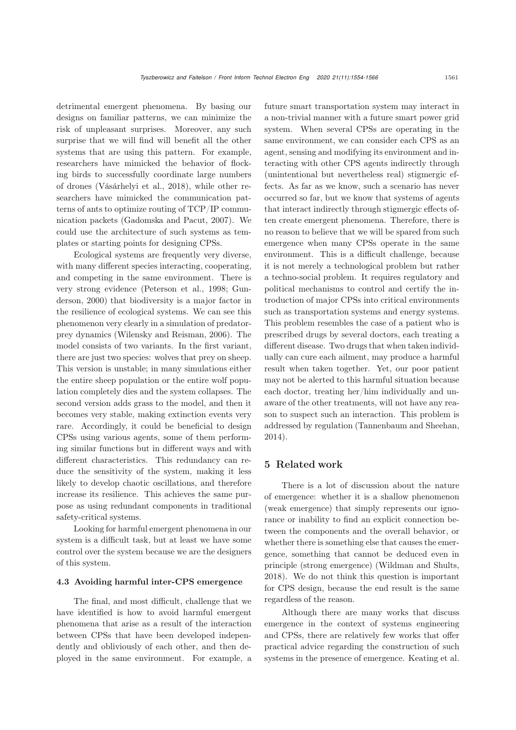detrimental emergent phenomena. By basing our designs on familiar patterns, we can minimize the risk of unpleasant surprises. Moreover, any such surprise that we will find will benefit all the other systems that are using this pattern. For example, researchers have mimicked the behavior of flocking birds to successfully coordinate large numbers of drones [\(Vásárhelyi et al., 2018\)](#page-12-8), while other researchers have mimicked the communication patterns of ants to optimize routing of TCP/IP communication packets [\(Gadomska and Pacut](#page-10-24), [2007\)](#page-10-24). We could use the architecture of such systems as templates or starting points for designing CPSs.

Ecological systems are frequently very diverse, with many different species interacting, cooperating, and competing in the same environment. There is very s[trong](#page-10-25) [evidence](#page-10-25) [\(Peterson et al.](#page-11-28)[,](#page-10-25) [1998;](#page-11-28) Gunderson, [2000](#page-10-25)) that biodiversity is a major factor in the resilience of ecological systems. We can see this phenomenon very clearly in a simulation of predatorprey dynamics [\(Wilensky and Reisman, 2006\)](#page-12-9). The model consists of two variants. In the first variant, there are just two species: wolves that prey on sheep. This version is unstable; in many simulations either the entire sheep population or the entire wolf population completely dies and the system collapses. The second version adds grass to the model, and then it becomes very stable, making extinction events very rare. Accordingly, it could be beneficial to design CPSs using various agents, some of them performing similar functions but in different ways and with different characteristics. This redundancy can reduce the sensitivity of the system, making it less likely to develop chaotic oscillations, and therefore increase its resilience. This achieves the same purpose as using redundant components in traditional safety-critical systems.

Looking for harmful emergent phenomena in our system is a difficult task, but at least we have some control over the system because we are the designers of this system.

## 4.3 Avoiding harmful inter-CPS emergence

The final, and most difficult, challenge that we have identified is how to avoid harmful emergent phenomena that arise as a result of the interaction between CPSs that have been developed independently and obliviously of each other, and then deployed in the same environment. For example, a

future smart transportation system may interact in a non-trivial manner with a future smart power grid system. When several CPSs are operating in the same environment, we can consider each CPS as an agent, sensing and modifying its environment and interacting with other CPS agents indirectly through (unintentional but nevertheless real) stigmergic effects. As far as we know, such a scenario has never occurred so far, but we know that systems of agents that interact indirectly through stigmergic effects often create emergent phenomena. Therefore, there is no reason to believe that we will be spared from such emergence when many CPSs operate in the same environment. This is a difficult challenge, because it is not merely a technological problem but rather a techno-social problem. It requires regulatory and political mechanisms to control and certify the introduction of major CPSs into critical environments such as transportation systems and energy systems. This problem resembles the case of a patient who is prescribed drugs by several doctors, each treating a different disease. Two drugs that when taken individually can cure each ailment, may produce a harmful result when taken together. Yet, our poor patient may not be alerted to this harmful situation because each doctor, treating her/him individually and unaware of the other treatments, will not have any reason to suspect such an interaction. This problem is addressed by regulation [\(Tannenbaum and Sheehan](#page-12-10), [2014](#page-12-10)).

## <span id="page-7-0"></span>5 Related work

There is a lot of discussion about the nature of emergence: whether it is a shallow phenomenon (weak emergence) that simply represents our ignorance or inability to find an explicit connection between the components and the overall behavior, or whether there is something else that causes the emergence, something that cannot be deduced even in principle (strong emergence) [\(Wildman and Shults](#page-12-11), [2018](#page-12-11)). We do not think this question is important for CPS design, because the end result is the same regardless of the reason.

Although there are many works that discuss emergence in the context of systems engineering and CPSs, there are relatively few works that offer practical advice regarding the construction of such systems in the presence of emergence. [Keating et al.](#page-10-11)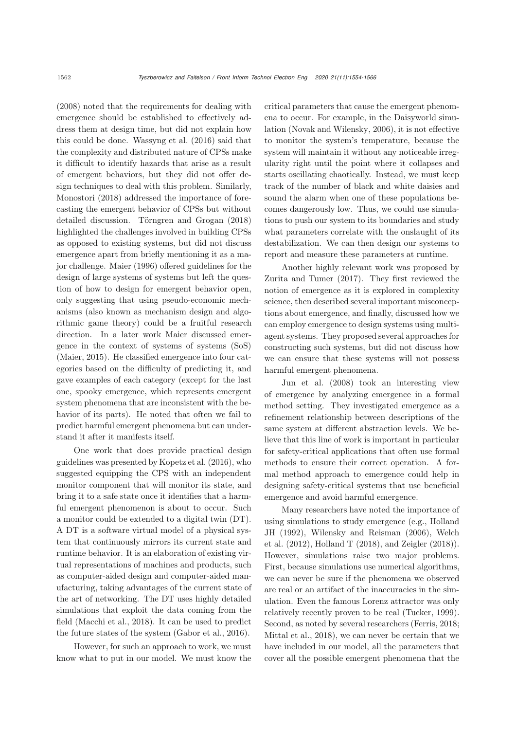[\(2008](#page-10-11)) noted that the requirements for dealing with emergence should be established to effectively address them at design time, but did not explain how this could be done. [Wassyng et al.](#page-12-12) [\(2016](#page-12-12)) said that the complexity and distributed nature of CPSs make it difficult to identify hazards that arise as a result of emergent behaviors, but they did not offer design techniques to deal with this problem. Similarly, [Monostori](#page-11-16) [\(2018\)](#page-11-16) addressed the importance of forecasting the emergent behavior of CPSs but without detailed discussion. [Törngren and Grogan](#page-12-2) [\(2018](#page-12-2)) highlighted the challenges involved in building CPSs as opposed to existing systems, but did not discuss emergence apart from briefly mentioning it as a major challenge. [Maier](#page-11-8) [\(1996](#page-11-8)) offered guidelines for the design of large systems of systems but left the question of how to design for emergent behavior open, only suggesting that using pseudo-economic mechanisms (also known as mechanism design and algorithmic game theory) could be a fruitful research direction. In a later work Maier discussed emergence in the context of systems of systems (SoS) [\(Maier](#page-11-13), [2015\)](#page-11-13). He classified emergence into four categories based on the difficulty of predicting it, and gave examples of each category (except for the last one, spooky emergence, which represents emergent system phenomena that are inconsistent with the behavior of its parts). He noted that often we fail to predict harmful emergent phenomena but can understand it after it manifests itself.

One work that does provide practical design guidelines was presented by [Kopetz et al.](#page-11-17) [\(2016\)](#page-11-17), who suggested equipping the CPS with an independent monitor component that will monitor its state, and bring it to a safe state once it identifies that a harmful emergent phenomenon is about to occur. Such a monitor could be extended to a digital twin (DT). A DT is a software virtual model of a physical system that continuously mirrors its current state and runtime behavior. It is an elaboration of existing virtual representations of machines and products, such as computer-aided design and computer-aided manufacturing, taking advantages of the current state of the art of networking. The DT uses highly detailed simulations that exploit the data coming from the field [\(Macchi et al., 2018](#page-11-29)). It can be used to predict the future states of the system [\(Gabor et al.](#page-10-26), [2016\)](#page-10-26).

However, for such an approach to work, we must know what to put in our model. We must know the critical parameters that cause the emergent phenomena to occur. For example, in the Daisyworld simulation [\(Novak and Wilensky, 2006](#page-11-15)), it is not effective to monitor the system's temperature, because the system will maintain it without any noticeable irregularity right until the point where it collapses and starts oscillating chaotically. Instead, we must keep track of the number of black and white daisies and sound the alarm when one of these populations becomes dangerously low. Thus, we could use simulations to push our system to its boundaries and study what parameters correlate with the onslaught of its destabilization. We can then design our systems to report and measure these parameters at runtime.

Another highly relevant work was proposed by [Zurita and Tumer](#page-12-13) [\(2017\)](#page-12-13). They first reviewed the notion of emergence as it is explored in complexity science, then described several important misconceptions about emergence, and finally, discussed how we can employ emergence to design systems using multiagent systems. They proposed several approaches for constructing such systems, but did not discuss how we can ensure that these systems will not possess harmful emergent phenomena.

Jun et al. [\(2008](#page-10-27)) took an interesting view of emergence by analyzing emergence in a formal method setting. They investigated emergence as a refinement relationship between descriptions of the same system at different abstraction levels. We believe that this line of work is important in particular for safety-critical applications that often use formal methods to ensure their correct operation. A formal method approach to emergence could help in designing safety-critical systems that use beneficial emergence and avoid harmful emergence.

Many researchers have noted the importance of usi[ng](#page-10-28) [simulations](#page-10-28) [to](#page-10-28) [study](#page-10-28) [emergence](#page-10-28) [\(e.g.,](#page-10-28) Holland JH [\(1992](#page-10-28)[\),](#page-12-14) [Wilensky and Reisman](#page-12-9) [\(2006](#page-12-9)[\),](#page-12-14) Welch et al. [\(2012](#page-12-14)), [Holland T](#page-10-29) [\(2018\)](#page-10-29), and [Zeigler](#page-12-15) [\(2018\)](#page-12-15)). However, simulations raise two major problems. First, because simulations use numerical algorithms, we can never be sure if the phenomena we observed are real or an artifact of the inaccuracies in the simulation. Even the famous Lorenz attractor was only relatively recently proven to be real [\(Tucker, 1999\)](#page-12-16). Second, as noted by several researchers [\(Ferris](#page-10-30), [2018;](#page-10-30) [Mittal et al.](#page-11-14), [2018](#page-11-14)), we can never be certain that we have included in our model, all the parameters that cover all the possible emergent phenomena that the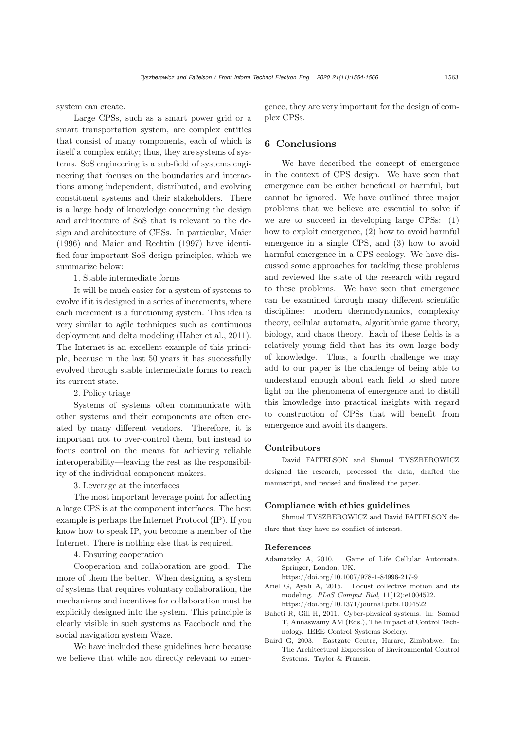system can create.

Large CPSs, such as a smart power grid or a smart transportation system, are complex entities that consist of many components, each of which is itself a complex entity; thus, they are systems of systems. SoS engineering is a sub-field of systems engineering that focuses on the boundaries and interactions among independent, distributed, and evolving constituent systems and their stakeholders. There is a large body of knowledge concerning the design and architecture of SoS that is relevant to the design and architecture of CPSs. In particular, [Maier](#page-11-8) [\(1996](#page-11-8)) and [Maier and Rechtin](#page-11-30) [\(1997\)](#page-11-30) have identified four important SoS design principles, which we summarize below:

1. Stable intermediate forms

It will be much easier for a system of systems to evolve if it is designed in a series of increments, where each increment is a functioning system. This idea is very similar to agile techniques such as continuous deployment and delta modeling [\(Haber et al.](#page-10-31), [2011\)](#page-10-31). The Internet is an excellent example of this principle, because in the last 50 years it has successfully evolved through stable intermediate forms to reach its current state.

2. Policy triage

Systems of systems often communicate with other systems and their components are often created by many different vendors. Therefore, it is important not to over-control them, but instead to focus control on the means for achieving reliable interoperability—leaving the rest as the responsibility of the individual component makers.

3. Leverage at the interfaces

The most important leverage point for affecting a large CPS is at the component interfaces. The best example is perhaps the Internet Protocol (IP). If you know how to speak IP, you become a member of the Internet. There is nothing else that is required.

4. Ensuring cooperation

Cooperation and collaboration are good. The more of them the better. When designing a system of systems that requires voluntary collaboration, the mechanisms and incentives for collaboration must be explicitly designed into the system. This principle is clearly visible in such systems as Facebook and the social navigation system Waze.

We have included these guidelines here because we believe that while not directly relevant to emergence, they are very important for the design of complex CPSs.

## 6 Conclusions

We have described the concept of emergence in the context of CPS design. We have seen that emergence can be either beneficial or harmful, but cannot be ignored. We have outlined three major problems that we believe are essential to solve if we are to succeed in developing large CPSs: (1) how to exploit emergence, (2) how to avoid harmful emergence in a single CPS, and (3) how to avoid harmful emergence in a CPS ecology. We have discussed some approaches for tackling these problems and reviewed the state of the research with regard to these problems. We have seen that emergence can be examined through many different scientific disciplines: modern thermodynamics, complexity theory, cellular automata, algorithmic game theory, biology, and chaos theory. Each of these fields is a relatively young field that has its own large body of knowledge. Thus, a fourth challenge we may add to our paper is the challenge of being able to understand enough about each field to shed more light on the phenomena of emergence and to distill this knowledge into practical insights with regard to construction of CPSs that will benefit from emergence and avoid its dangers.

#### Contributors

David FAITELSON and Shmuel TYSZBEROWICZ designed the research, processed the data, drafted the manuscript, and revised and finalized the paper.

#### Compliance with ethics guidelines

Shmuel TYSZBEROWICZ and David FAITELSON declare that they have no conflict of interest.

#### References

<span id="page-9-1"></span>Adamatzky A, 2010. Game of Life Cellular Automata. Springer, London, UK.

https://doi.org/10.1007/978-1-84996-217-9

- <span id="page-9-2"></span>Ariel G, Ayali A, 2015. Locust collective motion and its modeling. *PLoS Comput Biol*, 11(12):e1004522. https://doi.org/10.1371/journal.pcbi.1004522
- <span id="page-9-0"></span>Baheti R, Gill H, 2011. Cyber-physical systems. In: Samad T, Annaswamy AM (Eds.), The Impact of Control Technology. IEEE Control Systems Sociery.
- <span id="page-9-3"></span>Baird G, 2003. Eastgate Centre, Harare, Zimbabwe. In: The Architectural Expression of Environmental Control Systems. Taylor & Francis.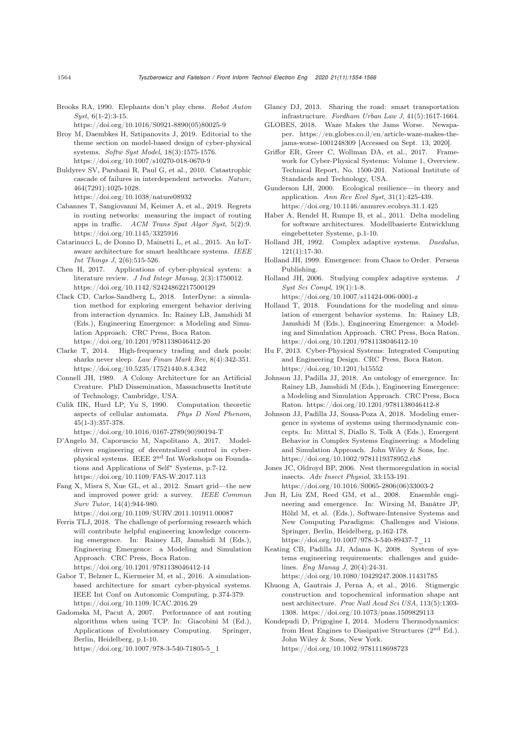<span id="page-10-22"></span>Brooks RA, 1990. Elephants don't play chess. *Robot Auton Syst*, 6(1-2):3-15.

https://doi.org/10.1016/S0921-8890(05)80025-9

- <span id="page-10-10"></span>Broy M, Daembkes H, Sztipanovits J, 2019. Editorial to the theme section on model-based design of cyber-physical systems. *Softw Syst Model*, 18(3):1575-1576. https://doi.org/10.1007/s10270-018-0670-9
- <span id="page-10-20"></span>Buldyrev SV, Parshani R, Paul G, et al., 2010. Catastrophic cascade of failures in interdependent networks. *Nature*, 464(7291):1025-1028.

https://doi.org/10.1038/nature08932

- <span id="page-10-5"></span>Cabannes T, Sangiovanni M, Keimer A, et al., 2019. Regrets in routing networks: measuring the impact of routing apps in traffic. *ACM Trans Spat Algor Syst*, 5(2):9. https://doi.org/10.1145/3325916
- <span id="page-10-7"></span>Catarinucci L, de Donno D, Mainetti L, et al., 2015. An IoTaware architecture for smart healthcare systems. *IEEE Int Things J*, 2(6):515-526.
- <span id="page-10-9"></span>Chen H, 2017. Applications of cyber-physical system: a literature review. *J Ind Integr Manag*, 2(3):1750012. https://doi.org/10.1142/S2424862217500129
- <span id="page-10-19"></span>Clack CD, Carlos-Sandberg L, 2018. InterDyne: a simulation method for exploring emergent behavior deriving from interaction dynamics. In: Rainey LB, Jamshidi M (Eds.), Engineering Emergence: a Modeling and Simulation Approach. CRC Press, Boca Raton. https://doi.org/10.1201/9781138046412-20
- <span id="page-10-3"></span>Clarke T, 2014. High-frequency trading and dark pools: sharks never sleep. *Law Finan Mark Rev*, 8(4):342-351. https://doi.org/10.5235/17521440.8.4.342
- <span id="page-10-23"></span>Connell JH, 1989. A Colony Architecture for an Artificial Creature. PhD Dissemination, Massachusetts Institute of Technology, Cambridge, USA.
- <span id="page-10-16"></span>Culik IIK, Hurd LP, Yu S, 1990. Computation theoretic aspects of cellular automata. *Phys D Nonl Phenom*, 45(1-3):357-378.
	- https://doi.org/10.1016/0167-2789(90)90194-T
- <span id="page-10-12"></span>D'Angelo M, Caporuscio M, Napolitano A, 2017. Modeldriven engineering of decentralized control in cyberphysical systems. IEEE 2nd Int Workshops on Foundations and Applications of Self∗ Systems, p.7-12. https://doi.org/10.1109/FAS-W.2017.113
- <span id="page-10-6"></span>Fang X, Misra S, Xue GL, et al., 2012. Smart grid—the new and improved power grid: a survey. *IEEE Commun Surv Tutor*, 14(4):944-980. https://doi.org/10.1109/SURV.2011.101911.00087
- <span id="page-10-30"></span>Ferris TLJ, 2018. The challenge of performing research which will contribute helpful engineering knowledge concerning emergence. In: Rainey LB, Jamshidi M (Eds.), Engineering Emergence: a Modeling and Simulation Approach. CRC Press, Boca Raton. https://doi.org/10.1201/9781138046412-14
- <span id="page-10-26"></span>Gabor T, Belzner L, Kiermeier M, et al., 2016. A simulationbased architecture for smart cyber-physical systems. IEEE Int Conf on Autonomic Computing, p.374-379. https://doi.org/10.1109/ICAC.2016.29
- <span id="page-10-24"></span>Gadomska M, Pacut A, 2007. Performance of ant routing algorithms when using TCP. In: Giacobini M (Ed.), Applications of Evolutionary Computing. Springer, Berlin, Heidelberg, p.1-10. https://doi.org/10.1007/978-3-540-71805-5\_1
- <span id="page-10-8"></span>Glancy DJ, 2013. Sharing the road: smart transportation infrastructure. *Fordham Urban Law J*, 41(5):1617-1664.
- <span id="page-10-4"></span>GLOBES, 2018. Waze Makes the Jams Worse. Newspaper. https://en.globes.co.il/en/article-waze-makes-thejams-worse-1001248309 [Accessed on Sept. 13, 2020].
- <span id="page-10-1"></span>Griffor ER, Greer C, Wollman DA, et al., 2017. Framework for Cyber-Physical Systems: Volume 1, Overview. Technical Report, No. 1500-201. National Institute of Standards and Technology, USA.
- <span id="page-10-25"></span>Gunderson LH, 2000. Ecological resilience—in theory and application. *Ann Rev Ecol Syst*, 31(1):425-439. https://doi.org/10.1146/annurev.ecolsys.31.1.425
- <span id="page-10-31"></span>Haber A, Rendel H, Rumpe B, et al., 2011. Delta modeling for software architectures. Modellbasierte Entwicklung eingebetteter Systeme, p.1-10.
- <span id="page-10-28"></span>Holland JH, 1992. Complex adaptive systems. *Daedalus*, 121(1):17-30.
- <span id="page-10-14"></span>Holland JH, 1999. Emergence: from Chaos to Order. Perseus Publishing.
- <span id="page-10-15"></span>Holland JH, 2006. Studying complex adaptive systems. *J Syst Sci Compl*, 19(1):1-8.

https://doi.org/10.1007/s11424-006-0001-z

- <span id="page-10-29"></span>Holland T, 2018. Foundations for the modeling and simulation of emergent behavior systems. In: Rainey LB, Jamshidi M (Eds.), Engineering Emergence: a Modeling and Simulation Approach. CRC Press, Boca Raton. https://doi.org/10.1201/9781138046412-10
- <span id="page-10-0"></span>Hu F, 2013. Cyber-Physical Systems: Integrated Computing and Engineering Design. CRC Press, Boca Raton. https://doi.org/10.1201/b15552
- <span id="page-10-13"></span>Johnson JJ, Padilla JJ, 2018. An ontology of emergence. In: Rainey LB, Jamshidi M (Eds.), Engineering Emergence: a Modeling and Simulation Approach. CRC Press, Boca Raton. https://doi.org/10.1201/9781138046412-8
- <span id="page-10-17"></span>Johnson JJ, Padilla JJ, Sousa-Poza A, 2018. Modeling emergence in systems of systems using thermodynamic concepts. In: Mittal S, Diallo S, Tolk A (Eds.), Emergent Behavior in Complex Systems Engineering: a Modeling and Simulation Approach. John Wiley & Sons, Inc. https://doi.org/10.1002/9781119378952.ch8
- <span id="page-10-21"></span>Jones JC, Oldroyd BP, 2006. Nest thermoregulation in social insects. *Adv Insect Physiol*, 33:153-191. https://doi.org/10.1016/S0065-2806(06)33003-2
- <span id="page-10-27"></span>Jun H, Liu ZM, Reed GM, et al., 2008. Ensemble engineering and emergence. In: Wirsing M, Banâtre JP, Hölzl M, et al. (Eds.), Software-Intensive Systems and New Computing Paradigms: Challenges and Visions. Springer, Berlin, Heidelberg, p.162-178.
	- https://doi.org/10.1007/978-3-540-89437-7\_11
- <span id="page-10-11"></span>Keating CB, Padilla JJ, Adams K, 2008. System of systems engineering requirements: challenges and guidelines. *Eng Manag J*, 20(4):24-31. https://doi.org/10.1080/10429247.2008.11431785
- <span id="page-10-2"></span>Khuong A, Gautrais J, Perna A, et al., 2016. Stigmergic construction and topochemical information shape ant nest architecture. *Proc Natl Acad Sci USA*, 113(5):1303- 1308. https://doi.org/10.1073/pnas.1509829113
- <span id="page-10-18"></span>Kondepudi D, Prigogine I, 2014. Modern Thermodynamics: from Heat Engines to Dissipative Structures (2<sup>nd</sup> Ed.). John Wiley & Sons, New York. https://doi.org/10.1002/9781118698723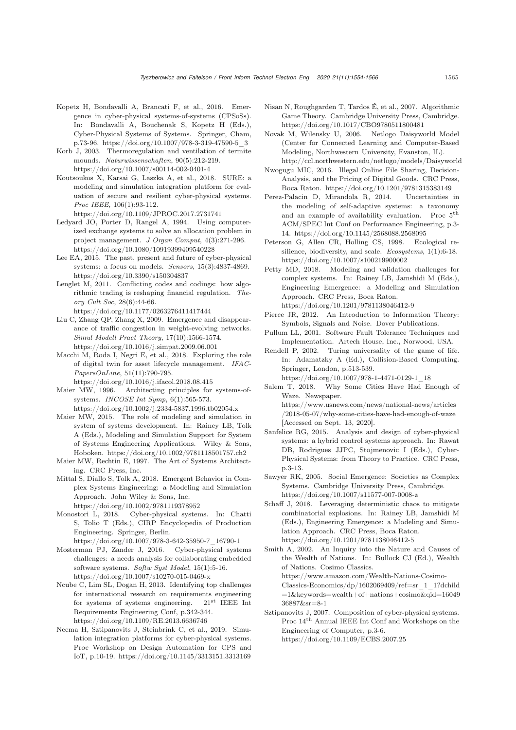- <span id="page-11-17"></span>Kopetz H, Bondavalli A, Brancati F, et al., 2016. Emergence in cyber-physical systems-of-systems (CPSoSs). In: Bondavalli A, Bouchenak S, Kopetz H (Eds.), Cyber-Physical Systems of Systems. Springer, Cham, p.73-96. https://doi.org/10.1007/978-3-319-47590-5\_3
- <span id="page-11-21"></span>Korb J, 2003. Thermoregulation and ventilation of termite mounds. *Naturwissenschaften*, 90(5):212-219. https://doi.org/10.1007/s00114-002-0401-4
- <span id="page-11-3"></span>Koutsoukos X, Karsai G, Laszka A, et al., 2018. SURE: a modeling and simulation integration platform for evaluation of secure and resilient cyber-physical systems. *Proc IEEE*, 106(1):93-112.
	- https://doi.org/10.1109/JPROC.2017.2731741
- <span id="page-11-25"></span>Ledyard JO, Porter D, Rangel A, 1994. Using computerized exchange systems to solve an allocation problem in project management. *J Organ Comput*, 4(3):271-296. https://doi.org/10.1080/10919399409540228
- <span id="page-11-2"></span>Lee EA, 2015. The past, present and future of cyber-physical systems: a focus on models. *Sensors*, 15(3):4837-4869. https://doi.org/10.3390/s150304837
- <span id="page-11-0"></span>Lenglet M, 2011. Conflicting codes and codings: how algorithmic trading is reshaping financial regulation. *Theory Cult Soc*, 28(6):44-66.
- <span id="page-11-12"></span>https://doi.org/10.1177/0263276411417444 Liu C, Zhang QP, Zhang X, 2009. Emergence and disappear-
- ance of traffic congestion in weight-evolving networks. *Simul Modell Pract Theory*, 17(10):1566-1574. https://doi.org/10.1016/j.simpat.2009.06.001
- <span id="page-11-29"></span>Macchi M, Roda I, Negri E, et al., 2018. Exploring the role of digital twin for asset lifecycle management. *IFAC-PapersOnLine*, 51(11):790-795. https://doi.org/10.1016/j.ifacol.2018.08.415
- <span id="page-11-8"></span>Maier MW, 1996. Architecting principles for systems-ofsystems. *INCOSE Int Symp*, 6(1):565-573. https://doi.org/10.1002/j.2334-5837.1996.tb02054.x
- <span id="page-11-13"></span>Maier MW, 2015. The role of modeling and simulation in system of systems development. In: Rainey LB, Tolk A (Eds.), Modeling and Simulation Support for System of Systems Engineering Applications. Wiley & Sons, Hoboken. https://doi.org/10.1002/9781118501757.ch2
- <span id="page-11-30"></span>Maier MW, Rechtin E, 1997. The Art of Systems Architecting. CRC Press, Inc.
- <span id="page-11-14"></span>Mittal S, Diallo S, Tolk A, 2018. Emergent Behavior in Complex Systems Engineering: a Modeling and Simulation Approach. John Wiley & Sons, Inc. https://doi.org/10.1002/9781119378952
- <span id="page-11-16"></span>Monostori L, 2018. Cyber-physical systems. In: Chatti S, Tolio T (Eds.), CIRP Encyclopedia of Production Engineering. Springer, Berlin.
	- https://doi.org/10.1007/978-3-642-35950-7\_16790-1
- <span id="page-11-7"></span>Mosterman PJ, Zander J, 2016. Cyber-physical systems challenges: a needs analysis for collaborating embedded software systems. *Softw Syst Model*, 15(1):5-16. https://doi.org/10.1007/s10270-015-0469-x
- <span id="page-11-9"></span>Ncube C, Lim SL, Dogan H, 2013. Identifying top challenges for international research on requirements engineering for systems of systems engineering.  $21<sup>st</sup>$  IEEE Int Requirements Engineering Conf, p.342-344. https://doi.org/10.1109/RE.2013.6636746
- <span id="page-11-4"></span>Neema H, Sztipanovits J, Steinbrink C, et al., 2019. Simulation integration platforms for cyber-physical systems. Proc Workshop on Design Automation for CPS and IoT, p.10-19. https://doi.org/10.1145/3313151.3313169
- <span id="page-11-24"></span>Nisan N, Roughgarden T, Tardos É, et al., 2007. Algorithmic Game Theory. Cambridge University Press, Cambridge. https://doi.org/10.1017/CBO9780511800481
- <span id="page-11-15"></span>Novak M, Wilensky U, 2006. Netlogo Daisyworld Model (Center for Connected Learning and Computer-Based Modeling, Northwestern University, Evanston, IL). http://ccl.northwestern.edu/netlogo/models/Daisyworld
- <span id="page-11-22"></span>Nwogugu MIC, 2016. Illegal Online File Sharing, Decision-Analysis, and the Pricing of Digital Goods. CRC Press, Boca Raton. https://doi.org/10.1201/9781315383149
- <span id="page-11-10"></span>Perez-Palacin D, Mirandola R, 2014. Uncertainties in the modeling of self-adaptive systems: a taxonomy and an example of availability evaluation. Proc 5th ACM/SPEC Int Conf on Performance Engineering, p.3- 14. https://doi.org/10.1145/2568088.2568095
- <span id="page-11-28"></span>Peterson G, Allen CR, Holling CS, 1998. Ecological resilience, biodiversity, and scale. *Ecosystems*, 1(1):6-18. https://doi.org/10.1007/s100219900002
- <span id="page-11-26"></span>Petty MD, 2018. Modeling and validation challenges for complex systems. In: Rainey LB, Jamshidi M (Eds.), Engineering Emergence: a Modeling and Simulation Approach. CRC Press, Boca Raton. https://doi.org/10.1201/9781138046412-9
- <span id="page-11-20"></span>Pierce JR, 2012. An Introduction to Information Theory: Symbols, Signals and Noise. Dover Publications.
- <span id="page-11-27"></span>Pullum LL, 2001. Software Fault Tolerance Techniques and Implementation. Artech House, Inc., Norwood, USA.
- <span id="page-11-19"></span>Rendell P, 2002. Turing universality of the game of life. In: Adamatzky A (Ed.), Collision-Based Computing. Springer, London, p.513-539. https://doi.org/10.1007/978-1-4471-0129-1\_18
- <span id="page-11-1"></span>Salem T, 2018. Why Some Cities Have Had Enough of Waze. Newspaper.
	- https://www.usnews.com/news/national-news/articles /2018-05-07/why-some-cities-have-had-enough-of-waze [Accessed on Sept. 13, 2020].
- <span id="page-11-6"></span>Sanfelice RG, 2015. Analysis and design of cyber-physical systems: a hybrid control systems approach. In: Rawat DB, Rodrigues JJPC, Stojmenovic I (Eds.), Cyber-Physical Systems: from Theory to Practice. CRC Press, p.3-13.
- <span id="page-11-11"></span>Sawyer RK, 2005. Social Emergence: Societies as Complex Systems. Cambridge University Press, Cambridge. https://doi.org/10.1007/s11577-007-0008-z
- <span id="page-11-18"></span>Schaff J, 2018. Leveraging deterministic chaos to mitigate combinatorial explosions. In: Rainey LB, Jamshidi M (Eds.), Engineering Emergence: a Modeling and Simulation Approach. CRC Press, Boca Raton. https://doi.org/10.1201/9781138046412-5
- <span id="page-11-23"></span>Smith A, 2002. An Inquiry into the Nature and Causes of the Wealth of Nations. In: Bullock CJ (Ed.), Wealth of Nations. Cosimo Classics. https://www.amazon.com/Wealth-Nations-Cosimo-Classics-Economics/dp/1602069409/ref=sr\_1\_1?dchild  $=1$ &keywords=wealth+of+nations+cosimo&qid=16049 36887&sr=8-1
- <span id="page-11-5"></span>Sztipanovits J, 2007. Composition of cyber-physical systems. Proc $14^{\rm th}$ Annual IEEE Int Conf and Workshops on the Engineering of Computer, p.3-6. https://doi.org/10.1109/ECBS.2007.25